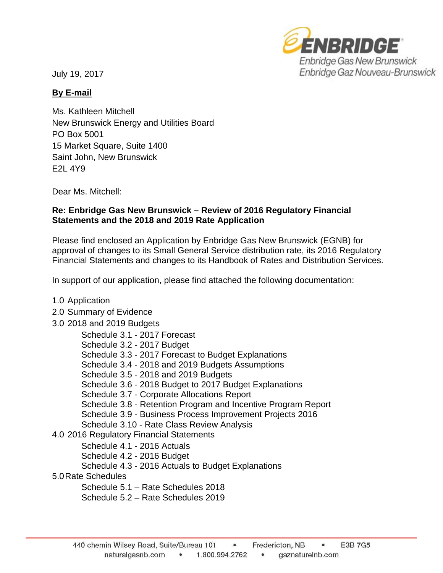July 19, 2017



## **By E-mail**

Ms. Kathleen Mitchell New Brunswick Energy and Utilities Board PO Box 5001 15 Market Square, Suite 1400 Saint John, New Brunswick E2L 4Y9

Dear Ms. Mitchell:

## **Re: Enbridge Gas New Brunswick – Review of 2016 Regulatory Financial Statements and the 2018 and 2019 Rate Application**

Please find enclosed an Application by Enbridge Gas New Brunswick (EGNB) for approval of changes to its Small General Service distribution rate, its 2016 Regulatory Financial Statements and changes to its Handbook of Rates and Distribution Services.

In support of our application, please find attached the following documentation:

- 1.0 Application
- 2.0 Summary of Evidence
- 3.0 2018 and 2019 Budgets

Schedule 3.1 - 2017 Forecast Schedule 3.2 - 2017 Budget Schedule 3.3 - 2017 Forecast to Budget Explanations Schedule 3.4 - 2018 and 2019 Budgets Assumptions Schedule 3.5 - 2018 and 2019 Budgets Schedule 3.6 - 2018 Budget to 2017 Budget Explanations Schedule 3.7 - Corporate Allocations Report Schedule 3.8 - Retention Program and Incentive Program Report Schedule 3.9 - Business Process Improvement Projects 2016 Schedule 3.10 - Rate Class Review Analysis 4.0 2016 Regulatory Financial Statements Schedule 4.1 - 2016 Actuals Schedule 4.2 - 2016 Budget Schedule 4.3 - 2016 Actuals to Budget Explanations 5.0Rate Schedules Schedule 5.1 – Rate Schedules 2018

Schedule 5.2 – Rate Schedules 2019